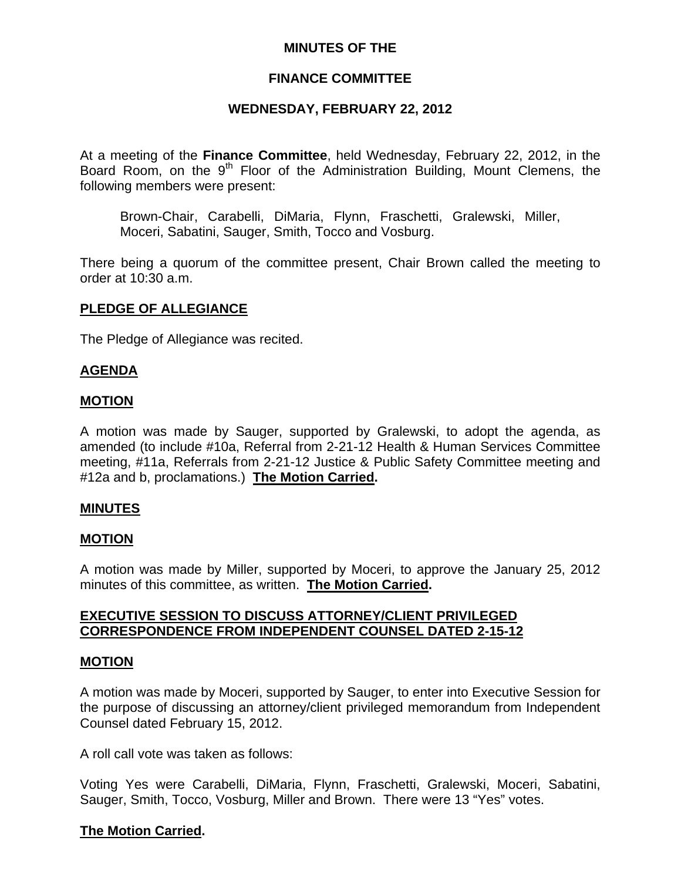## **MINUTES OF THE**

### **FINANCE COMMITTEE**

### **WEDNESDAY, FEBRUARY 22, 2012**

At a meeting of the **Finance Committee**, held Wednesday, February 22, 2012, in the Board Room, on the 9<sup>th</sup> Floor of the Administration Building, Mount Clemens, the following members were present:

Brown-Chair, Carabelli, DiMaria, Flynn, Fraschetti, Gralewski, Miller, Moceri, Sabatini, Sauger, Smith, Tocco and Vosburg.

There being a quorum of the committee present, Chair Brown called the meeting to order at 10:30 a.m.

### **PLEDGE OF ALLEGIANCE**

The Pledge of Allegiance was recited.

### **AGENDA**

#### **MOTION**

A motion was made by Sauger, supported by Gralewski, to adopt the agenda, as amended (to include #10a, Referral from 2-21-12 Health & Human Services Committee meeting, #11a, Referrals from 2-21-12 Justice & Public Safety Committee meeting and #12a and b, proclamations.) **The Motion Carried.** 

### **MINUTES**

### **MOTION**

A motion was made by Miller, supported by Moceri, to approve the January 25, 2012 minutes of this committee, as written. **The Motion Carried.** 

### **EXECUTIVE SESSION TO DISCUSS ATTORNEY/CLIENT PRIVILEGED CORRESPONDENCE FROM INDEPENDENT COUNSEL DATED 2-15-12**

#### **MOTION**

A motion was made by Moceri, supported by Sauger, to enter into Executive Session for the purpose of discussing an attorney/client privileged memorandum from Independent Counsel dated February 15, 2012.

A roll call vote was taken as follows:

Voting Yes were Carabelli, DiMaria, Flynn, Fraschetti, Gralewski, Moceri, Sabatini, Sauger, Smith, Tocco, Vosburg, Miller and Brown. There were 13 "Yes" votes.

### **The Motion Carried.**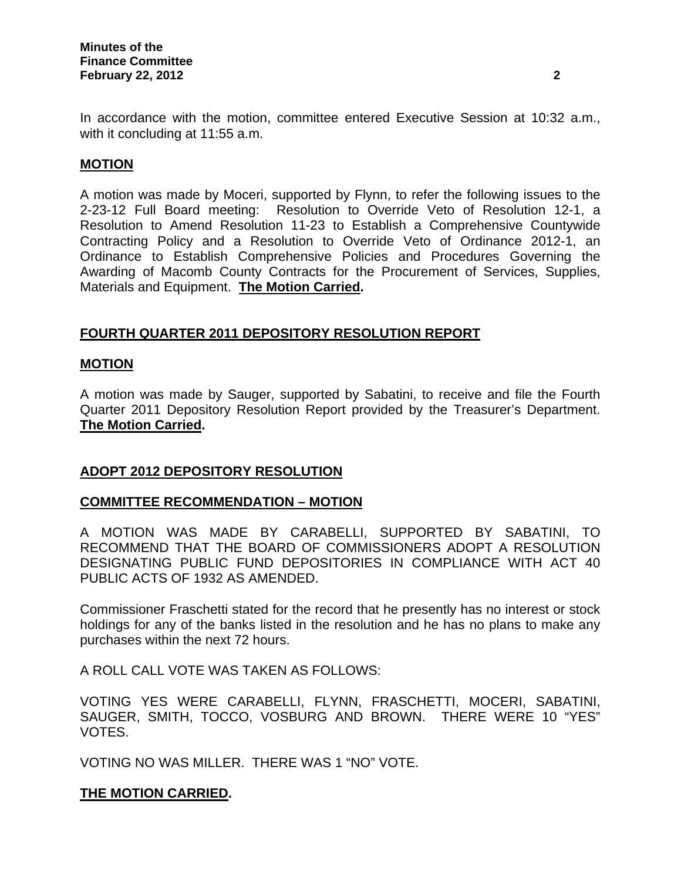In accordance with the motion, committee entered Executive Session at 10:32 a.m., with it concluding at 11:55 a.m.

### **MOTION**

A motion was made by Moceri, supported by Flynn, to refer the following issues to the 2-23-12 Full Board meeting: Resolution to Override Veto of Resolution 12-1, a Resolution to Amend Resolution 11-23 to Establish a Comprehensive Countywide Contracting Policy and a Resolution to Override Veto of Ordinance 2012-1, an Ordinance to Establish Comprehensive Policies and Procedures Governing the Awarding of Macomb County Contracts for the Procurement of Services, Supplies, Materials and Equipment. **The Motion Carried.**

### **FOURTH QUARTER 2011 DEPOSITORY RESOLUTION REPORT**

### **MOTION**

A motion was made by Sauger, supported by Sabatini, to receive and file the Fourth Quarter 2011 Depository Resolution Report provided by the Treasurer's Department. **The Motion Carried.** 

### **ADOPT 2012 DEPOSITORY RESOLUTION**

### **COMMITTEE RECOMMENDATION – MOTION**

A MOTION WAS MADE BY CARABELLI, SUPPORTED BY SABATINI, TO RECOMMEND THAT THE BOARD OF COMMISSIONERS ADOPT A RESOLUTION DESIGNATING PUBLIC FUND DEPOSITORIES IN COMPLIANCE WITH ACT 40 PUBLIC ACTS OF 1932 AS AMENDED.

Commissioner Fraschetti stated for the record that he presently has no interest or stock holdings for any of the banks listed in the resolution and he has no plans to make any purchases within the next 72 hours.

A ROLL CALL VOTE WAS TAKEN AS FOLLOWS:

VOTING YES WERE CARABELLI, FLYNN, FRASCHETTI, MOCERI, SABATINI, SAUGER, SMITH, TOCCO, VOSBURG AND BROWN. THERE WERE 10 "YES" VOTES.

VOTING NO WAS MILLER. THERE WAS 1 "NO" VOTE.

### **THE MOTION CARRIED.**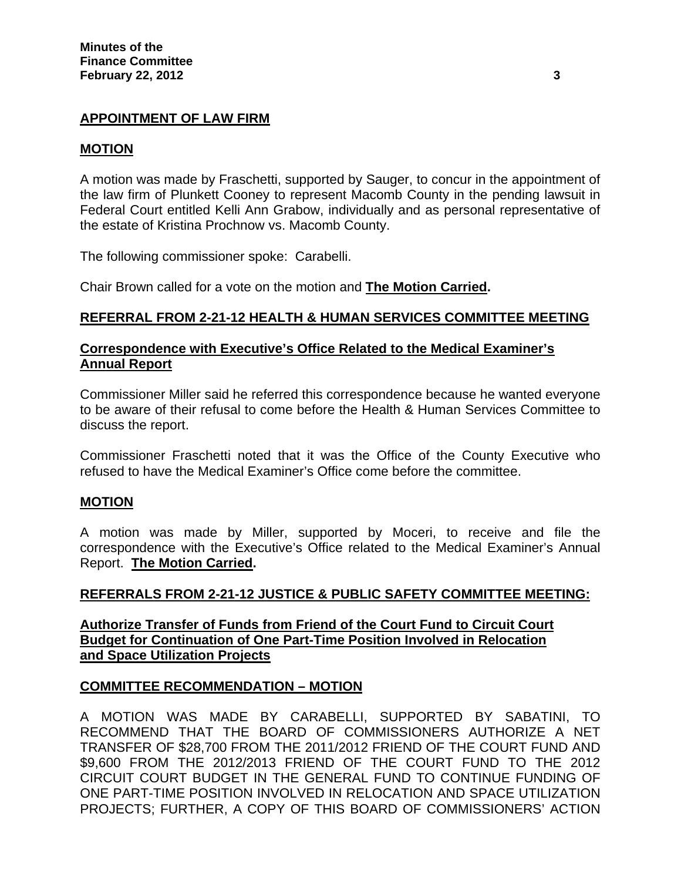### **APPOINTMENT OF LAW FIRM**

### **MOTION**

A motion was made by Fraschetti, supported by Sauger, to concur in the appointment of the law firm of Plunkett Cooney to represent Macomb County in the pending lawsuit in Federal Court entitled Kelli Ann Grabow, individually and as personal representative of the estate of Kristina Prochnow vs. Macomb County.

The following commissioner spoke: Carabelli.

Chair Brown called for a vote on the motion and **The Motion Carried.** 

### **REFERRAL FROM 2-21-12 HEALTH & HUMAN SERVICES COMMITTEE MEETING**

### **Correspondence with Executive's Office Related to the Medical Examiner's Annual Report**

Commissioner Miller said he referred this correspondence because he wanted everyone to be aware of their refusal to come before the Health & Human Services Committee to discuss the report.

Commissioner Fraschetti noted that it was the Office of the County Executive who refused to have the Medical Examiner's Office come before the committee.

### **MOTION**

A motion was made by Miller, supported by Moceri, to receive and file the correspondence with the Executive's Office related to the Medical Examiner's Annual Report. **The Motion Carried.** 

### **REFERRALS FROM 2-21-12 JUSTICE & PUBLIC SAFETY COMMITTEE MEETING:**

**Authorize Transfer of Funds from Friend of the Court Fund to Circuit Court Budget for Continuation of One Part-Time Position Involved in Relocation and Space Utilization Projects**

### **COMMITTEE RECOMMENDATION – MOTION**

A MOTION WAS MADE BY CARABELLI, SUPPORTED BY SABATINI, TO RECOMMEND THAT THE BOARD OF COMMISSIONERS AUTHORIZE A NET TRANSFER OF \$28,700 FROM THE 2011/2012 FRIEND OF THE COURT FUND AND \$9,600 FROM THE 2012/2013 FRIEND OF THE COURT FUND TO THE 2012 CIRCUIT COURT BUDGET IN THE GENERAL FUND TO CONTINUE FUNDING OF ONE PART-TIME POSITION INVOLVED IN RELOCATION AND SPACE UTILIZATION PROJECTS; FURTHER, A COPY OF THIS BOARD OF COMMISSIONERS' ACTION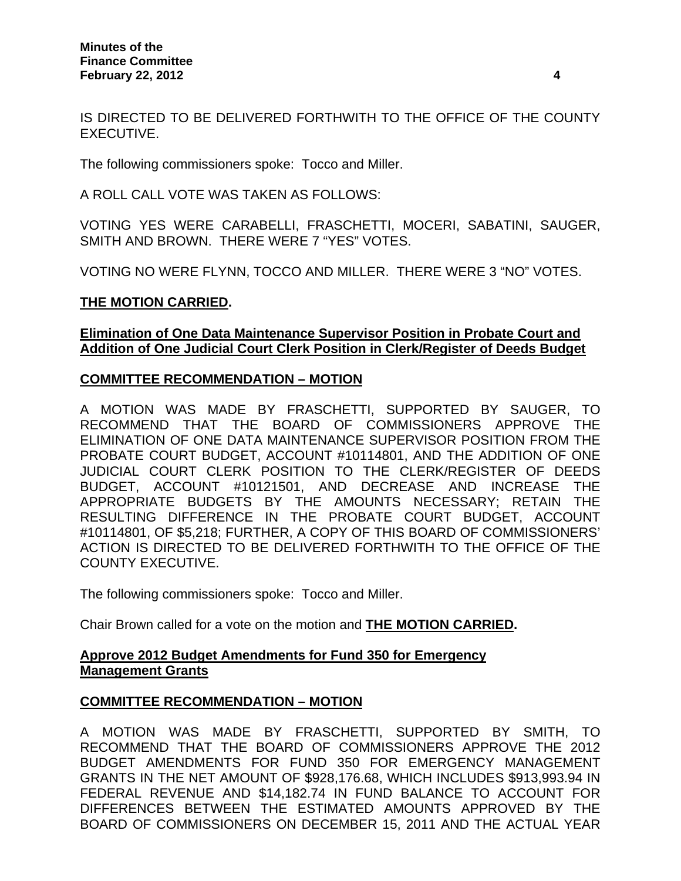IS DIRECTED TO BE DELIVERED FORTHWITH TO THE OFFICE OF THE COUNTY EXECUTIVE.

The following commissioners spoke: Tocco and Miller.

A ROLL CALL VOTE WAS TAKEN AS FOLLOWS:

VOTING YES WERE CARABELLI, FRASCHETTI, MOCERI, SABATINI, SAUGER, SMITH AND BROWN. THERE WERE 7 "YES" VOTES.

VOTING NO WERE FLYNN, TOCCO AND MILLER. THERE WERE 3 "NO" VOTES.

### **THE MOTION CARRIED.**

### **Elimination of One Data Maintenance Supervisor Position in Probate Court and Addition of One Judicial Court Clerk Position in Clerk/Register of Deeds Budget**

### **COMMITTEE RECOMMENDATION – MOTION**

A MOTION WAS MADE BY FRASCHETTI, SUPPORTED BY SAUGER, TO RECOMMEND THAT THE BOARD OF COMMISSIONERS APPROVE THE ELIMINATION OF ONE DATA MAINTENANCE SUPERVISOR POSITION FROM THE PROBATE COURT BUDGET, ACCOUNT #10114801, AND THE ADDITION OF ONE JUDICIAL COURT CLERK POSITION TO THE CLERK/REGISTER OF DEEDS BUDGET, ACCOUNT #10121501, AND DECREASE AND INCREASE THE APPROPRIATE BUDGETS BY THE AMOUNTS NECESSARY; RETAIN THE RESULTING DIFFERENCE IN THE PROBATE COURT BUDGET, ACCOUNT #10114801, OF \$5,218; FURTHER, A COPY OF THIS BOARD OF COMMISSIONERS' ACTION IS DIRECTED TO BE DELIVERED FORTHWITH TO THE OFFICE OF THE COUNTY EXECUTIVE.

The following commissioners spoke: Tocco and Miller.

Chair Brown called for a vote on the motion and **THE MOTION CARRIED.** 

## **Approve 2012 Budget Amendments for Fund 350 for Emergency Management Grants**

## **COMMITTEE RECOMMENDATION – MOTION**

A MOTION WAS MADE BY FRASCHETTI, SUPPORTED BY SMITH, TO RECOMMEND THAT THE BOARD OF COMMISSIONERS APPROVE THE 2012 BUDGET AMENDMENTS FOR FUND 350 FOR EMERGENCY MANAGEMENT GRANTS IN THE NET AMOUNT OF \$928,176.68, WHICH INCLUDES \$913,993.94 IN FEDERAL REVENUE AND \$14,182.74 IN FUND BALANCE TO ACCOUNT FOR DIFFERENCES BETWEEN THE ESTIMATED AMOUNTS APPROVED BY THE BOARD OF COMMISSIONERS ON DECEMBER 15, 2011 AND THE ACTUAL YEAR